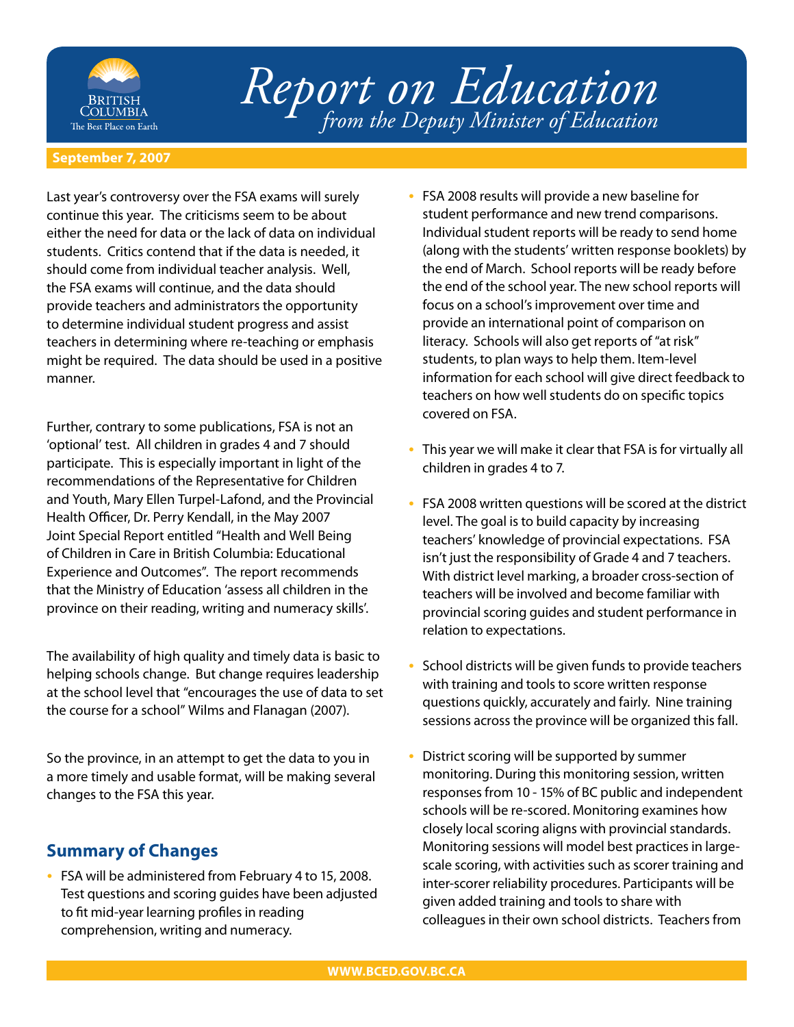

## *Report on Education from the Deputy Minister of Education*

## **September 7, 2007**

Last year's controversy over the FSA exams will surely continue this year. The criticisms seem to be about either the need for data or the lack of data on individual students. Critics contend that if the data is needed, it should come from individual teacher analysis. Well, the FSA exams will continue, and the data should provide teachers and administrators the opportunity to determine individual student progress and assist teachers in determining where re-teaching or emphasis might be required. The data should be used in a positive manner.

Further, contrary to some publications, FSA is not an 'optional' test. All children in grades 4 and 7 should participate. This is especially important in light of the recommendations of the Representative for Children and Youth, Mary Ellen Turpel-Lafond, and the Provincial Health Officer, Dr. Perry Kendall, in the May 2007 Joint Special Report entitled "Health and Well Being of Children in Care in British Columbia: Educational Experience and Outcomes". The report recommends that the Ministry of Education 'assess all children in the province on their reading, writing and numeracy skills'.

The availability of high quality and timely data is basic to helping schools change. But change requires leadership at the school level that "encourages the use of data to set the course for a school" Wilms and Flanagan (2007).

So the province, in an attempt to get the data to you in a more timely and usable format, will be making several changes to the FSA this year.

## **Summary of Changes**

FSA will be administered from February 4 to 15, 2008. Test questions and scoring guides have been adjusted to fit mid-year learning profiles in reading comprehension, writing and numeracy. •

- FSA 2008 results will provide a new baseline for student performance and new trend comparisons. Individual student reports will be ready to send home (along with the students' written response booklets) by the end of March. School reports will be ready before the end of the school year. The new school reports will focus on a school's improvement over time and provide an international point of comparison on literacy. Schools will also get reports of "at risk" students, to plan ways to help them. Item-level information for each school will give direct feedback to teachers on how well students do on specific topics covered on FSA.
- This year we will make it clear that FSA is for virtually all children in grades 4 to 7. •
- FSA 2008 written questions will be scored at the district level. The goal is to build capacity by increasing teachers' knowledge of provincial expectations. FSA isn't just the responsibility of Grade 4 and 7 teachers. With district level marking, a broader cross-section of teachers will be involved and become familiar with provincial scoring guides and student performance in relation to expectations.
- School districts will be given funds to provide teachers with training and tools to score written response questions quickly, accurately and fairly. Nine training sessions across the province will be organized this fall. •
- District scoring will be supported by summer monitoring. During this monitoring session, written responses from 10 - 15% of BC public and independent schools will be re-scored. Monitoring examines how closely local scoring aligns with provincial standards. Monitoring sessions will model best practices in largescale scoring, with activities such as scorer training and inter-scorer reliability procedures. Participants will be given added training and tools to share with colleagues in their own school districts. Teachers from •